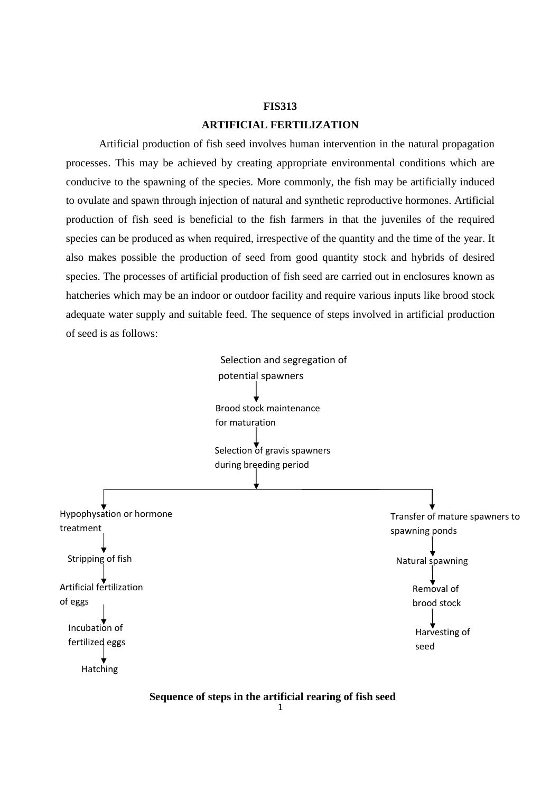# **FIS313 ARTIFICIAL FERTILIZATION**

 Artificial production of fish seed involves human intervention in the natural propagation processes. This may be achieved by creating appropriate environmental conditions which are conducive to the spawning of the species. More commonly, the fish may be artificially induced to ovulate and spawn through injection of natural and synthetic reproductive hormones. Artificial production of fish seed is beneficial to the fish farmers in that the juveniles of the required species can be produced as when required, irrespective of the quantity and the time of the year. It also makes possible the production of seed from good quantity stock and hybrids of desired species. The processes of artificial production of fish seed are carried out in enclosures known as hatcheries which may be an indoor or outdoor facility and require various inputs like brood stock adequate water supply and suitable feed. The sequence of steps involved in artificial production of seed is as follows:



**Sequence of steps in the artificial rearing of fish seed**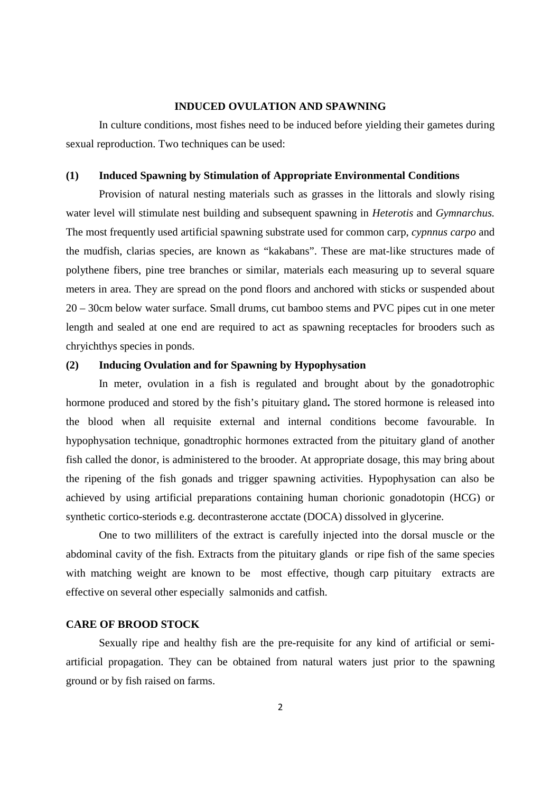#### **INDUCED OVULATION AND SPAWNING**

 In culture conditions, most fishes need to be induced before yielding their gametes during sexual reproduction. Two techniques can be used:

### **(1) Induced Spawning by Stimulation of Appropriate Environmental Conditions**

 Provision of natural nesting materials such as grasses in the littorals and slowly rising water level will stimulate nest building and subsequent spawning in *Heterotis* and *Gymnarchus.*  The most frequently used artificial spawning substrate used for common carp, *cypnnus carpo* and the mudfish, clarias species, are known as "kakabans". These are mat-like structures made of polythene fibers, pine tree branches or similar, materials each measuring up to several square meters in area. They are spread on the pond floors and anchored with sticks or suspended about 20 – 30cm below water surface. Small drums, cut bamboo stems and PVC pipes cut in one meter length and sealed at one end are required to act as spawning receptacles for brooders such as chryichthys species in ponds.

# **(2) Inducing Ovulation and for Spawning by Hypophysation**

 In meter, ovulation in a fish is regulated and brought about by the gonadotrophic hormone produced and stored by the fish's pituitary gland**.** The stored hormone is released into the blood when all requisite external and internal conditions become favourable. In hypophysation technique, gonadtrophic hormones extracted from the pituitary gland of another fish called the donor, is administered to the brooder. At appropriate dosage, this may bring about the ripening of the fish gonads and trigger spawning activities. Hypophysation can also be achieved by using artificial preparations containing human chorionic gonadotopin (HCG) or synthetic cortico-steriods e.g. decontrasterone acctate (DOCA) dissolved in glycerine.

 One to two milliliters of the extract is carefully injected into the dorsal muscle or the abdominal cavity of the fish. Extracts from the pituitary glands or ripe fish of the same species with matching weight are known to be most effective, though carp pituitary extracts are effective on several other especially salmonids and catfish.

# **CARE OF BROOD STOCK**

Sexually ripe and healthy fish are the pre-requisite for any kind of artificial or semiartificial propagation. They can be obtained from natural waters just prior to the spawning ground or by fish raised on farms.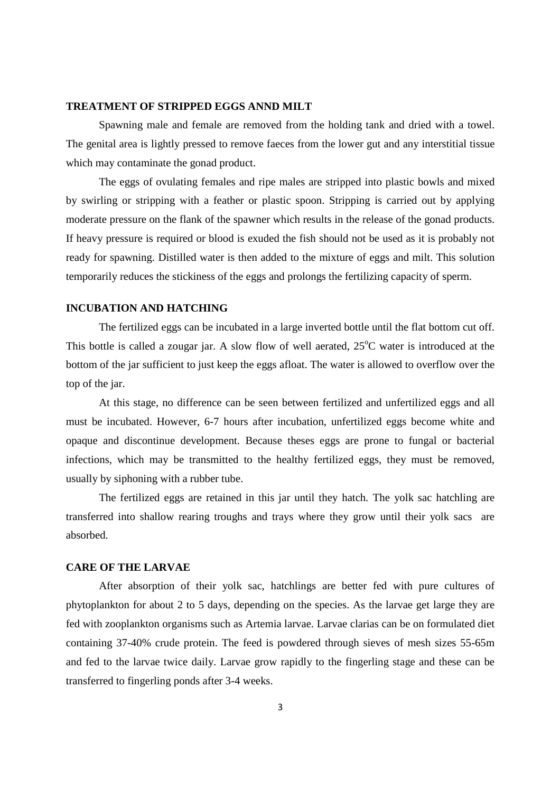### **TREATMENT OF STRIPPED EGGS ANND MILT**

 Spawning male and female are removed from the holding tank and dried with a towel. The genital area is lightly pressed to remove faeces from the lower gut and any interstitial tissue which may contaminate the gonad product.

 The eggs of ovulating females and ripe males are stripped into plastic bowls and mixed by swirling or stripping with a feather or plastic spoon. Stripping is carried out by applying moderate pressure on the flank of the spawner which results in the release of the gonad products. If heavy pressure is required or blood is exuded the fish should not be used as it is probably not ready for spawning. Distilled water is then added to the mixture of eggs and milt. This solution temporarily reduces the stickiness of the eggs and prolongs the fertilizing capacity of sperm.

# **INCUBATION AND HATCHING**

The fertilized eggs can be incubated in a large inverted bottle until the flat bottom cut off. This bottle is called a zougar jar. A slow flow of well aerated,  $25^{\circ}$ C water is introduced at the bottom of the jar sufficient to just keep the eggs afloat. The water is allowed to overflow over the top of the jar.

 At this stage, no difference can be seen between fertilized and unfertilized eggs and all must be incubated. However, 6-7 hours after incubation, unfertilized eggs become white and opaque and discontinue development. Because theses eggs are prone to fungal or bacterial infections, which may be transmitted to the healthy fertilized eggs, they must be removed, usually by siphoning with a rubber tube.

 The fertilized eggs are retained in this jar until they hatch. The yolk sac hatchling are transferred into shallow rearing troughs and trays where they grow until their yolk sacs are absorbed.

#### **CARE OF THE LARVAE**

After absorption of their yolk sac, hatchlings are better fed with pure cultures of phytoplankton for about 2 to 5 days, depending on the species. As the larvae get large they are fed with zooplankton organisms such as Artemia larvae. Larvae clarias can be on formulated diet containing 37-40% crude protein. The feed is powdered through sieves of mesh sizes 55-65m and fed to the larvae twice daily. Larvae grow rapidly to the fingerling stage and these can be transferred to fingerling ponds after 3-4 weeks.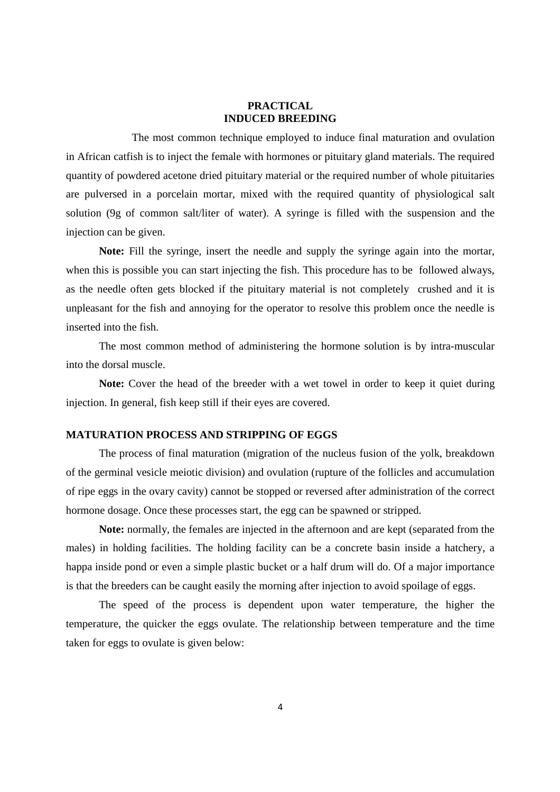## **PRACTICAL INDUCED BREEDING**

The most common technique employed to induce final maturation and ovulation in African catfish is to inject the female with hormones or pituitary gland materials. The required quantity of powdered acetone dried pituitary material or the required number of whole pituitaries are pulversed in a porcelain mortar, mixed with the required quantity of physiological salt solution (9g of common salt/liter of water). A syringe is filled with the suspension and the injection can be given.

**Note:** Fill the syringe, insert the needle and supply the syringe again into the mortar, when this is possible you can start injecting the fish. This procedure has to be followed always, as the needle often gets blocked if the pituitary material is not completely crushed and it is unpleasant for the fish and annoying for the operator to resolve this problem once the needle is inserted into the fish.

 The most common method of administering the hormone solution is by intra-muscular into the dorsal muscle.

**Note:** Cover the head of the breeder with a wet towel in order to keep it quiet during injection. In general, fish keep still if their eyes are covered.

## **MATURATION PROCESS AND STRIPPING OF EGGS**

The process of final maturation (migration of the nucleus fusion of the yolk, breakdown of the germinal vesicle meiotic division) and ovulation (rupture of the follicles and accumulation of ripe eggs in the ovary cavity) cannot be stopped or reversed after administration of the correct hormone dosage. Once these processes start, the egg can be spawned or stripped.

**Note:** normally, the females are injected in the afternoon and are kept (separated from the males) in holding facilities. The holding facility can be a concrete basin inside a hatchery, a happa inside pond or even a simple plastic bucket or a half drum will do. Of a major importance is that the breeders can be caught easily the morning after injection to avoid spoilage of eggs.

 The speed of the process is dependent upon water temperature, the higher the temperature, the quicker the eggs ovulate. The relationship between temperature and the time taken for eggs to ovulate is given below: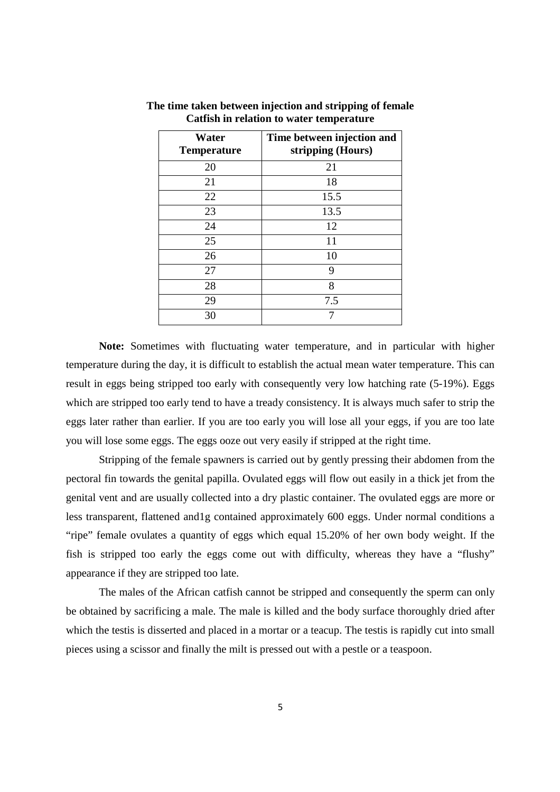| Water<br><b>Temperature</b> | Time between injection and<br>stripping (Hours) |
|-----------------------------|-------------------------------------------------|
| 20                          | 21                                              |
| 21                          | 18                                              |
| 22                          | 15.5                                            |
| 23                          | 13.5                                            |
| 24                          | 12                                              |
| 25                          | 11                                              |
| 26                          | 10                                              |
| 27                          | 9                                               |
| 28                          | 8                                               |
| 29                          | 7.5                                             |
| 30                          |                                                 |

**The time taken between injection and stripping of female Catfish in relation to water temperature** 

 **Note:** Sometimes with fluctuating water temperature, and in particular with higher temperature during the day, it is difficult to establish the actual mean water temperature. This can result in eggs being stripped too early with consequently very low hatching rate (5-19%). Eggs which are stripped too early tend to have a tready consistency. It is always much safer to strip the eggs later rather than earlier. If you are too early you will lose all your eggs, if you are too late you will lose some eggs. The eggs ooze out very easily if stripped at the right time.

 Stripping of the female spawners is carried out by gently pressing their abdomen from the pectoral fin towards the genital papilla. Ovulated eggs will flow out easily in a thick jet from the genital vent and are usually collected into a dry plastic container. The ovulated eggs are more or less transparent, flattened and1g contained approximately 600 eggs. Under normal conditions a "ripe" female ovulates a quantity of eggs which equal 15.20% of her own body weight. If the fish is stripped too early the eggs come out with difficulty, whereas they have a "flushy" appearance if they are stripped too late.

 The males of the African catfish cannot be stripped and consequently the sperm can only be obtained by sacrificing a male. The male is killed and the body surface thoroughly dried after which the testis is disserted and placed in a mortar or a teacup. The testis is rapidly cut into small pieces using a scissor and finally the milt is pressed out with a pestle or a teaspoon.